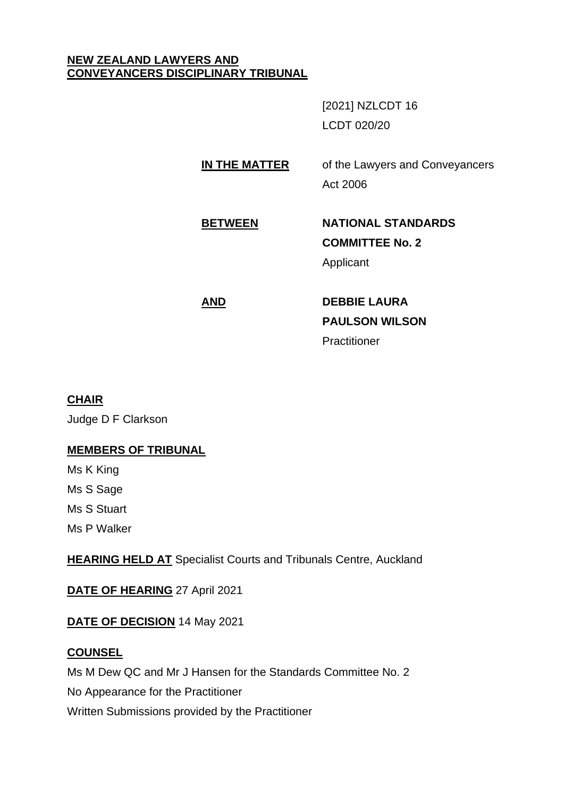# **NEW ZEALAND LAWYERS AND CONVEYANCERS DISCIPLINARY TRIBUNAL**

[2021] NZLCDT 16 LCDT 020/20

**IN THE MATTER** of the Lawyers and Conveyancers Act 2006

# **BETWEEN NATIONAL STANDARDS COMMITTEE No. 2** Applicant

**AND DEBBIE LAURA PAULSON WILSON Practitioner** 

# **CHAIR**

Judge D F Clarkson

# **MEMBERS OF TRIBUNAL**

Ms K King

Ms S Sage

Ms S Stuart

Ms P Walker

**HEARING HELD AT** Specialist Courts and Tribunals Centre, Auckland

**DATE OF HEARING** 27 April 2021

**DATE OF DECISION** 14 May 2021

# **COUNSEL**

Ms M Dew QC and Mr J Hansen for the Standards Committee No. 2

No Appearance for the Practitioner

Written Submissions provided by the Practitioner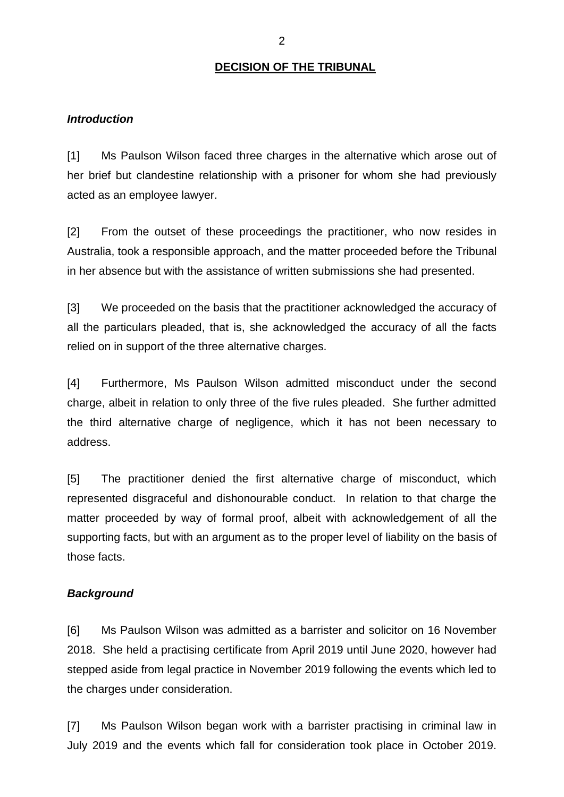### **DECISION OF THE TRIBUNAL**

#### *Introduction*

[1] Ms Paulson Wilson faced three charges in the alternative which arose out of her brief but clandestine relationship with a prisoner for whom she had previously acted as an employee lawyer.

[2] From the outset of these proceedings the practitioner, who now resides in Australia, took a responsible approach, and the matter proceeded before the Tribunal in her absence but with the assistance of written submissions she had presented.

[3] We proceeded on the basis that the practitioner acknowledged the accuracy of all the particulars pleaded, that is, she acknowledged the accuracy of all the facts relied on in support of the three alternative charges.

[4] Furthermore, Ms Paulson Wilson admitted misconduct under the second charge, albeit in relation to only three of the five rules pleaded. She further admitted the third alternative charge of negligence, which it has not been necessary to address.

[5] The practitioner denied the first alternative charge of misconduct, which represented disgraceful and dishonourable conduct. In relation to that charge the matter proceeded by way of formal proof, albeit with acknowledgement of all the supporting facts, but with an argument as to the proper level of liability on the basis of those facts.

#### *Background*

[6] Ms Paulson Wilson was admitted as a barrister and solicitor on 16 November 2018. She held a practising certificate from April 2019 until June 2020, however had stepped aside from legal practice in November 2019 following the events which led to the charges under consideration.

[7] Ms Paulson Wilson began work with a barrister practising in criminal law in July 2019 and the events which fall for consideration took place in October 2019.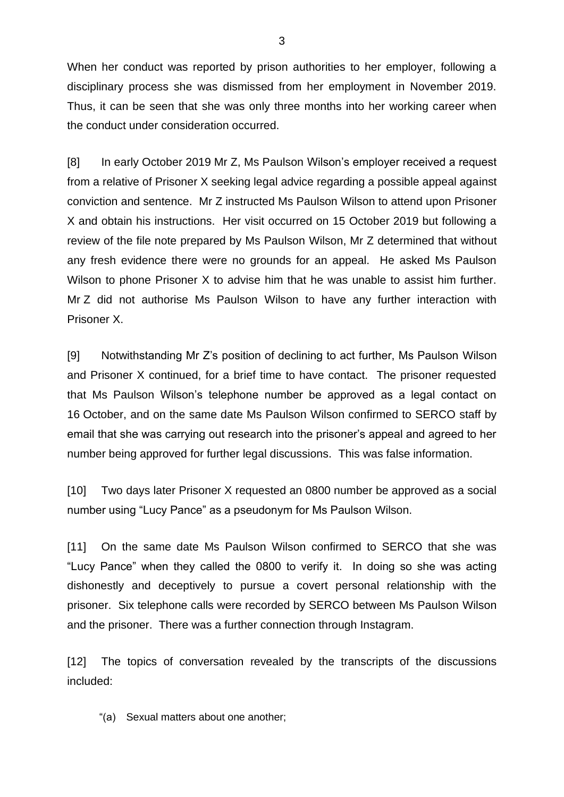When her conduct was reported by prison authorities to her employer, following a disciplinary process she was dismissed from her employment in November 2019. Thus, it can be seen that she was only three months into her working career when the conduct under consideration occurred.

[8] In early October 2019 Mr Z, Ms Paulson Wilson's employer received a request from a relative of Prisoner X seeking legal advice regarding a possible appeal against conviction and sentence. Mr Z instructed Ms Paulson Wilson to attend upon Prisoner X and obtain his instructions. Her visit occurred on 15 October 2019 but following a review of the file note prepared by Ms Paulson Wilson, Mr Z determined that without any fresh evidence there were no grounds for an appeal. He asked Ms Paulson Wilson to phone Prisoner X to advise him that he was unable to assist him further. Mr Z did not authorise Ms Paulson Wilson to have any further interaction with Prisoner X.

[9] Notwithstanding Mr Z's position of declining to act further, Ms Paulson Wilson and Prisoner X continued, for a brief time to have contact. The prisoner requested that Ms Paulson Wilson's telephone number be approved as a legal contact on 16 October, and on the same date Ms Paulson Wilson confirmed to SERCO staff by email that she was carrying out research into the prisoner's appeal and agreed to her number being approved for further legal discussions. This was false information.

[10] Two days later Prisoner X requested an 0800 number be approved as a social number using "Lucy Pance" as a pseudonym for Ms Paulson Wilson.

[11] On the same date Ms Paulson Wilson confirmed to SERCO that she was "Lucy Pance" when they called the 0800 to verify it. In doing so she was acting dishonestly and deceptively to pursue a covert personal relationship with the prisoner. Six telephone calls were recorded by SERCO between Ms Paulson Wilson and the prisoner. There was a further connection through Instagram.

[12] The topics of conversation revealed by the transcripts of the discussions included:

"(a) Sexual matters about one another;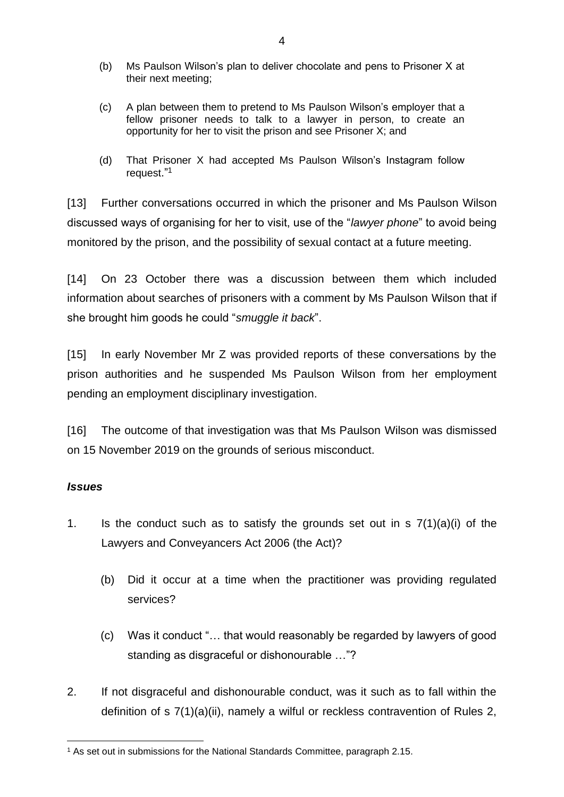- (b) Ms Paulson Wilson's plan to deliver chocolate and pens to Prisoner X at their next meeting;
- (c) A plan between them to pretend to Ms Paulson Wilson's employer that a fellow prisoner needs to talk to a lawyer in person, to create an opportunity for her to visit the prison and see Prisoner X; and
- (d) That Prisoner X had accepted Ms Paulson Wilson's Instagram follow request."<sup>1</sup>

[13] Further conversations occurred in which the prisoner and Ms Paulson Wilson discussed ways of organising for her to visit, use of the "*lawyer phone*" to avoid being monitored by the prison, and the possibility of sexual contact at a future meeting.

[14] On 23 October there was a discussion between them which included information about searches of prisoners with a comment by Ms Paulson Wilson that if she brought him goods he could "*smuggle it back*".

[15] In early November Mr Z was provided reports of these conversations by the prison authorities and he suspended Ms Paulson Wilson from her employment pending an employment disciplinary investigation.

[16] The outcome of that investigation was that Ms Paulson Wilson was dismissed on 15 November 2019 on the grounds of serious misconduct.

# *Issues*

- 1. Is the conduct such as to satisfy the grounds set out in  $s \, 7(1)(a)(i)$  of the Lawyers and Conveyancers Act 2006 (the Act)?
	- (b) Did it occur at a time when the practitioner was providing regulated services?
	- (c) Was it conduct "… that would reasonably be regarded by lawyers of good standing as disgraceful or dishonourable …"?
- 2. If not disgraceful and dishonourable conduct, was it such as to fall within the definition of s 7(1)(a)(ii), namely a wilful or reckless contravention of Rules 2,

<sup>1</sup> As set out in submissions for the National Standards Committee, paragraph 2.15.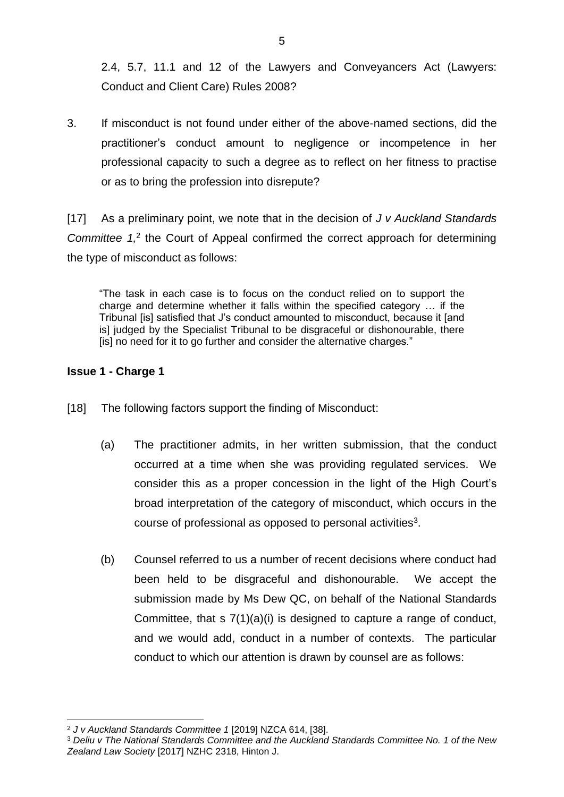2.4, 5.7, 11.1 and 12 of the Lawyers and Conveyancers Act (Lawyers: Conduct and Client Care) Rules 2008?

3. If misconduct is not found under either of the above-named sections, did the practitioner's conduct amount to negligence or incompetence in her professional capacity to such a degree as to reflect on her fitness to practise or as to bring the profession into disrepute?

[17] As a preliminary point, we note that in the decision of *J v Auckland Standards Committee 1,*<sup>2</sup> the Court of Appeal confirmed the correct approach for determining the type of misconduct as follows:

"The task in each case is to focus on the conduct relied on to support the charge and determine whether it falls within the specified category … if the Tribunal [is] satisfied that J's conduct amounted to misconduct, because it [and is] judged by the Specialist Tribunal to be disgraceful or dishonourable, there [is] no need for it to go further and consider the alternative charges."

# **Issue 1 - Charge 1**

- [18] The following factors support the finding of Misconduct:
	- (a) The practitioner admits, in her written submission, that the conduct occurred at a time when she was providing regulated services. We consider this as a proper concession in the light of the High Court's broad interpretation of the category of misconduct, which occurs in the course of professional as opposed to personal activities $3$ .
	- (b) Counsel referred to us a number of recent decisions where conduct had been held to be disgraceful and dishonourable. We accept the submission made by Ms Dew QC, on behalf of the National Standards Committee, that s 7(1)(a)(i) is designed to capture a range of conduct, and we would add, conduct in a number of contexts. The particular conduct to which our attention is drawn by counsel are as follows:

<sup>2</sup> *J v Auckland Standards Committee 1* [2019] NZCA 614, [38].

<sup>3</sup> *Deliu v The National Standards Committee and the Auckland Standards Committee No. 1 of the New Zealand Law Society* [2017] NZHC 2318, Hinton J.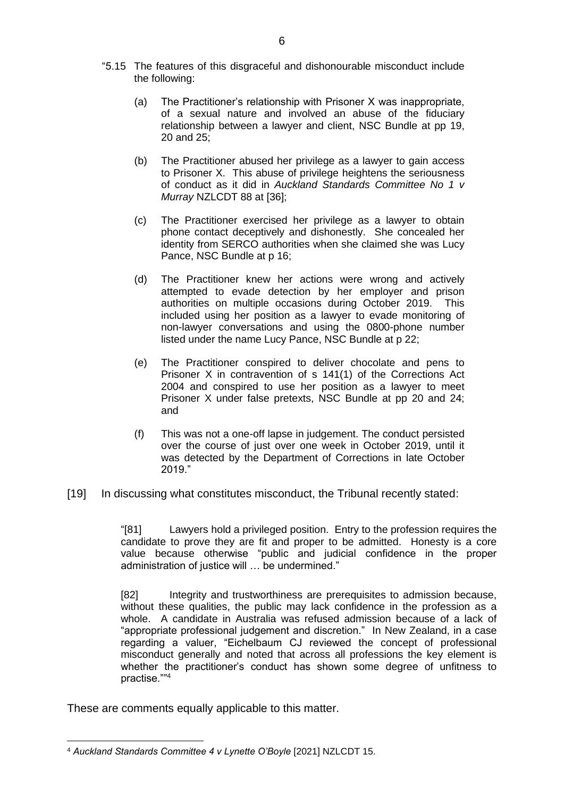- "5.15 The features of this disgraceful and dishonourable misconduct include the following:
	- (a) The Practitioner's relationship with Prisoner X was inappropriate, of a sexual nature and involved an abuse of the fiduciary relationship between a lawyer and client, NSC Bundle at pp 19, 20 and 25;
	- (b) The Practitioner abused her privilege as a lawyer to gain access to Prisoner X. This abuse of privilege heightens the seriousness of conduct as it did in *Auckland Standards Committee No 1 v Murray* NZLCDT 88 at [36];
	- (c) The Practitioner exercised her privilege as a lawyer to obtain phone contact deceptively and dishonestly. She concealed her identity from SERCO authorities when she claimed she was Lucy Pance, NSC Bundle at p 16;
	- (d) The Practitioner knew her actions were wrong and actively attempted to evade detection by her employer and prison authorities on multiple occasions during October 2019. This included using her position as a lawyer to evade monitoring of non-lawyer conversations and using the 0800-phone number listed under the name Lucy Pance, NSC Bundle at p 22;
	- (e) The Practitioner conspired to deliver chocolate and pens to Prisoner X in contravention of s 141(1) of the Corrections Act 2004 and conspired to use her position as a lawyer to meet Prisoner X under false pretexts, NSC Bundle at pp 20 and 24; and
	- (f) This was not a one-off lapse in judgement. The conduct persisted over the course of just over one week in October 2019, until it was detected by the Department of Corrections in late October 2019."
- [19] In discussing what constitutes misconduct, the Tribunal recently stated:

"[81] Lawyers hold a privileged position. Entry to the profession requires the candidate to prove they are fit and proper to be admitted. Honesty is a core value because otherwise "public and judicial confidence in the proper administration of justice will … be undermined."

[82] Integrity and trustworthiness are prerequisites to admission because, without these qualities, the public may lack confidence in the profession as a whole. A candidate in Australia was refused admission because of a lack of "appropriate professional judgement and discretion." In New Zealand, in a case regarding a valuer, "Eichelbaum CJ reviewed the concept of professional misconduct generally and noted that across all professions the key element is whether the practitioner's conduct has shown some degree of unfitness to practise."" 4

These are comments equally applicable to this matter.

<sup>4</sup> *Auckland Standards Committee 4 v Lynette O'Boyle* [2021] NZLCDT 15.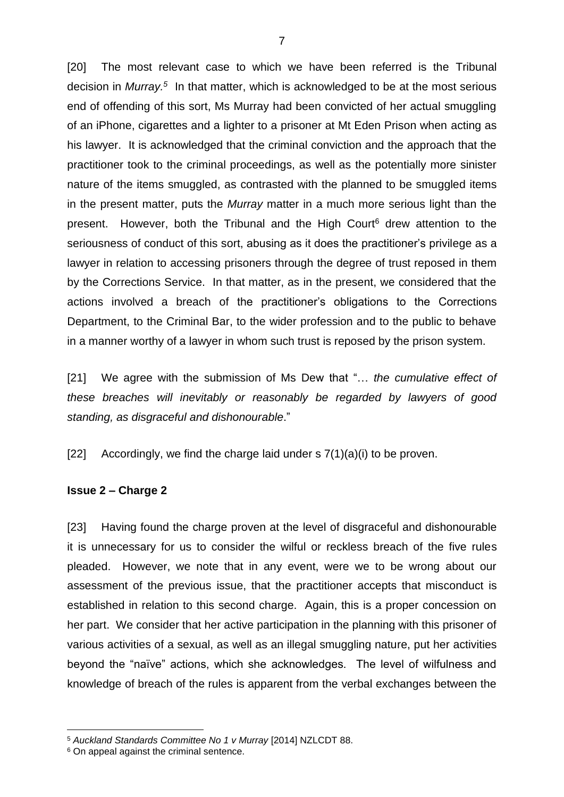[20] The most relevant case to which we have been referred is the Tribunal decision in *Murray.*<sup>5</sup> In that matter, which is acknowledged to be at the most serious end of offending of this sort, Ms Murray had been convicted of her actual smuggling of an iPhone, cigarettes and a lighter to a prisoner at Mt Eden Prison when acting as his lawyer. It is acknowledged that the criminal conviction and the approach that the practitioner took to the criminal proceedings, as well as the potentially more sinister nature of the items smuggled, as contrasted with the planned to be smuggled items in the present matter, puts the *Murray* matter in a much more serious light than the present. However, both the Tribunal and the High Court $6$  drew attention to the seriousness of conduct of this sort, abusing as it does the practitioner's privilege as a lawyer in relation to accessing prisoners through the degree of trust reposed in them by the Corrections Service. In that matter, as in the present, we considered that the actions involved a breach of the practitioner's obligations to the Corrections Department, to the Criminal Bar, to the wider profession and to the public to behave in a manner worthy of a lawyer in whom such trust is reposed by the prison system.

[21] We agree with the submission of Ms Dew that "… *the cumulative effect of these breaches will inevitably or reasonably be regarded by lawyers of good standing, as disgraceful and dishonourable*."

[22] Accordingly, we find the charge laid under  $\frac{s(1)}{a}(i)$  to be proven.

### **Issue 2 – Charge 2**

[23] Having found the charge proven at the level of disgraceful and dishonourable it is unnecessary for us to consider the wilful or reckless breach of the five rules pleaded. However, we note that in any event, were we to be wrong about our assessment of the previous issue, that the practitioner accepts that misconduct is established in relation to this second charge. Again, this is a proper concession on her part. We consider that her active participation in the planning with this prisoner of various activities of a sexual, as well as an illegal smuggling nature, put her activities beyond the "naïve" actions, which she acknowledges. The level of wilfulness and knowledge of breach of the rules is apparent from the verbal exchanges between the

<sup>5</sup> *Auckland Standards Committee No 1 v Murray* [2014] NZLCDT 88.

<sup>6</sup> On appeal against the criminal sentence.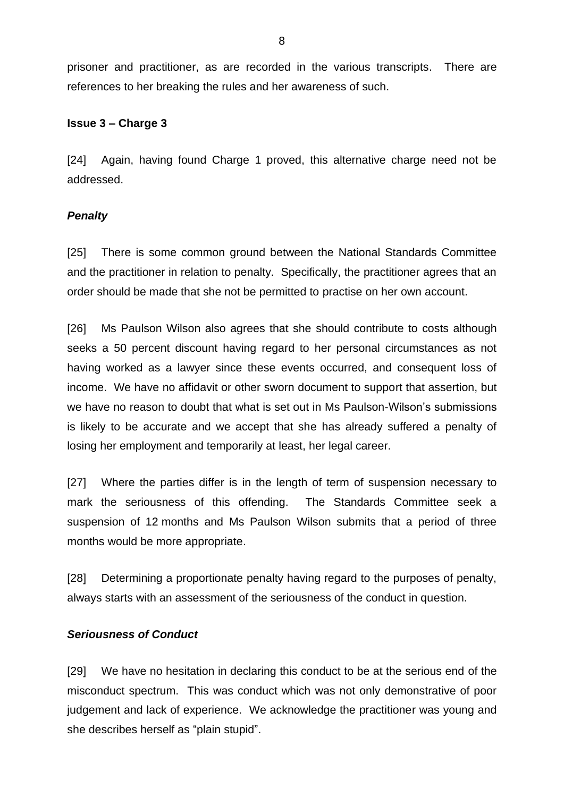prisoner and practitioner, as are recorded in the various transcripts. There are references to her breaking the rules and her awareness of such.

### **Issue 3 – Charge 3**

[24] Again, having found Charge 1 proved, this alternative charge need not be addressed.

### *Penalty*

[25] There is some common ground between the National Standards Committee and the practitioner in relation to penalty. Specifically, the practitioner agrees that an order should be made that she not be permitted to practise on her own account.

[26] Ms Paulson Wilson also agrees that she should contribute to costs although seeks a 50 percent discount having regard to her personal circumstances as not having worked as a lawyer since these events occurred, and consequent loss of income. We have no affidavit or other sworn document to support that assertion, but we have no reason to doubt that what is set out in Ms Paulson-Wilson's submissions is likely to be accurate and we accept that she has already suffered a penalty of losing her employment and temporarily at least, her legal career.

[27] Where the parties differ is in the length of term of suspension necessary to mark the seriousness of this offending. The Standards Committee seek a suspension of 12 months and Ms Paulson Wilson submits that a period of three months would be more appropriate.

[28] Determining a proportionate penalty having regard to the purposes of penalty, always starts with an assessment of the seriousness of the conduct in question.

### *Seriousness of Conduct*

[29] We have no hesitation in declaring this conduct to be at the serious end of the misconduct spectrum. This was conduct which was not only demonstrative of poor judgement and lack of experience. We acknowledge the practitioner was young and she describes herself as "plain stupid".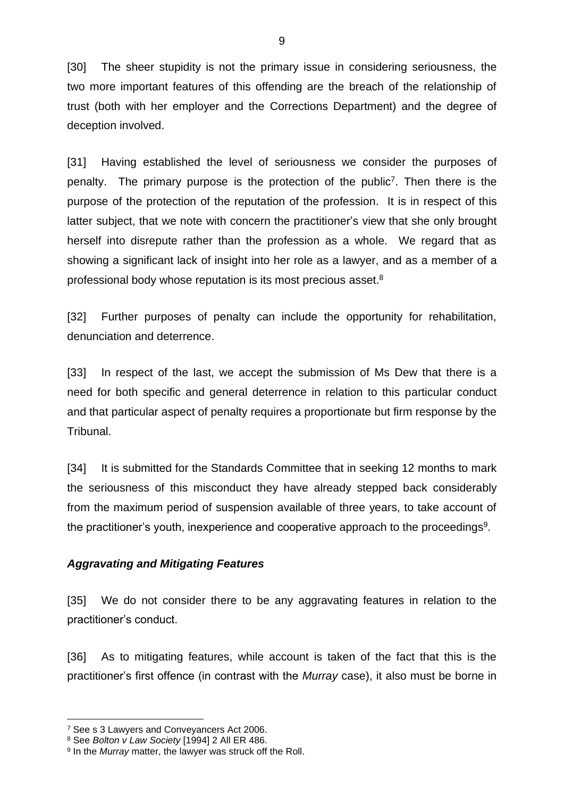[30] The sheer stupidity is not the primary issue in considering seriousness, the two more important features of this offending are the breach of the relationship of trust (both with her employer and the Corrections Department) and the degree of deception involved.

[31] Having established the level of seriousness we consider the purposes of penalty. The primary purpose is the protection of the public<sup>7</sup>. Then there is the purpose of the protection of the reputation of the profession. It is in respect of this latter subject, that we note with concern the practitioner's view that she only brought herself into disrepute rather than the profession as a whole. We regard that as showing a significant lack of insight into her role as a lawyer, and as a member of a professional body whose reputation is its most precious asset. $^8$ 

[32] Further purposes of penalty can include the opportunity for rehabilitation, denunciation and deterrence.

[33] In respect of the last, we accept the submission of Ms Dew that there is a need for both specific and general deterrence in relation to this particular conduct and that particular aspect of penalty requires a proportionate but firm response by the Tribunal.

[34] It is submitted for the Standards Committee that in seeking 12 months to mark the seriousness of this misconduct they have already stepped back considerably from the maximum period of suspension available of three years, to take account of the practitioner's youth, inexperience and cooperative approach to the proceedings $^9\!$ .

# *Aggravating and Mitigating Features*

[35] We do not consider there to be any aggravating features in relation to the practitioner's conduct.

[36] As to mitigating features, while account is taken of the fact that this is the practitioner's first offence (in contrast with the *Murray* case), it also must be borne in

<sup>&</sup>lt;sup>7</sup> See s 3 Lawyers and Conveyancers Act 2006.

<sup>8</sup> See *Bolton v Law Society* [1994] 2 All ER 486.

<sup>9</sup> In the *Murray* matter, the lawyer was struck off the Roll.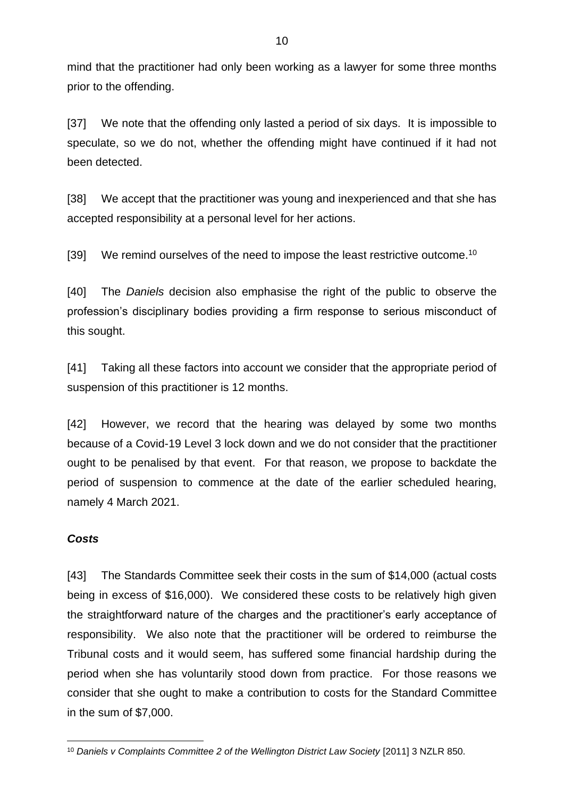mind that the practitioner had only been working as a lawyer for some three months prior to the offending.

[37] We note that the offending only lasted a period of six days. It is impossible to speculate, so we do not, whether the offending might have continued if it had not been detected.

[38] We accept that the practitioner was young and inexperienced and that she has accepted responsibility at a personal level for her actions.

[39] We remind ourselves of the need to impose the least restrictive outcome.<sup>10</sup>

[40] The *Daniels* decision also emphasise the right of the public to observe the profession's disciplinary bodies providing a firm response to serious misconduct of this sought.

[41] Taking all these factors into account we consider that the appropriate period of suspension of this practitioner is 12 months.

[42] However, we record that the hearing was delayed by some two months because of a Covid-19 Level 3 lock down and we do not consider that the practitioner ought to be penalised by that event. For that reason, we propose to backdate the period of suspension to commence at the date of the earlier scheduled hearing, namely 4 March 2021.

# *Costs*

[43] The Standards Committee seek their costs in the sum of \$14,000 (actual costs being in excess of \$16,000). We considered these costs to be relatively high given the straightforward nature of the charges and the practitioner's early acceptance of responsibility. We also note that the practitioner will be ordered to reimburse the Tribunal costs and it would seem, has suffered some financial hardship during the period when she has voluntarily stood down from practice. For those reasons we consider that she ought to make a contribution to costs for the Standard Committee in the sum of \$7,000.